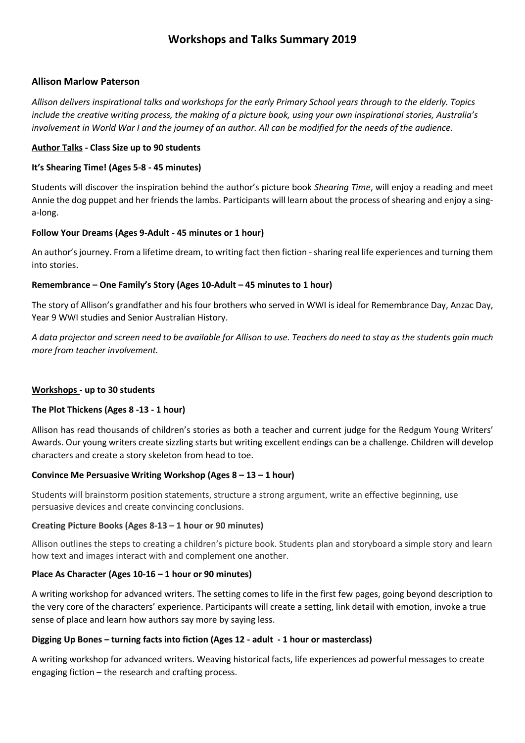# **Workshops and Talks Summary 2019**

### **Allison Marlow Paterson**

*Allison delivers inspirational talks and workshops for the early Primary School years through to the elderly. Topics include the creative writing process, the making of a picture book, using your own inspirational stories, Australia's involvement in World War I and the journey of an author. All can be modified for the needs of the audience.*

### **Author Talks - Class Size up to 90 students**

### **It's Shearing Time! (Ages 5-8 - 45 minutes)**

Students will discover the inspiration behind the author's picture book *Shearing Time*, will enjoy a reading and meet Annie the dog puppet and her friends the lambs. Participants will learn about the process of shearing and enjoy a singa-long.

### **Follow Your Dreams (Ages 9-Adult - 45 minutes or 1 hour)**

An author's journey. From a lifetime dream, to writing fact then fiction -sharing real life experiences and turning them into stories.

### **Remembrance – One Family's Story (Ages 10-Adult – 45 minutes to 1 hour)**

The story of Allison's grandfather and his four brothers who served in WWI is ideal for Remembrance Day, Anzac Day, Year 9 WWI studies and Senior Australian History.

*A data projector and screen need to be available for Allison to use. Teachers do need to stay as the students gain much more from teacher involvement.*

#### **Workshops - up to 30 students**

### **The Plot Thickens (Ages 8 -13 - 1 hour)**

Allison has read thousands of children's stories as both a teacher and current judge for the Redgum Young Writers' Awards. Our young writers create sizzling starts but writing excellent endings can be a challenge. Children will develop characters and create a story skeleton from head to toe.

#### **Convince Me Persuasive Writing Workshop (Ages 8 – 13 – 1 hour)**

Students will brainstorm position statements, structure a strong argument, write an effective beginning, use persuasive devices and create convincing conclusions.

#### **Creating Picture Books (Ages 8-13 – 1 hour or 90 minutes)**

Allison outlines the steps to creating a children's picture book. Students plan and storyboard a simple story and learn how text and images interact with and complement one another.

#### **Place As Character (Ages 10-16 – 1 hour or 90 minutes)**

A writing workshop for advanced writers. The setting comes to life in the first few pages, going beyond description to the very core of the characters' experience. Participants will create a setting, link detail with emotion, invoke a true sense of place and learn how authors say more by saying less.

#### **Digging Up Bones – turning facts into fiction (Ages 12 - adult - 1 hour or masterclass)**

A writing workshop for advanced writers. Weaving historical facts, life experiences ad powerful messages to create engaging fiction – the research and crafting process.